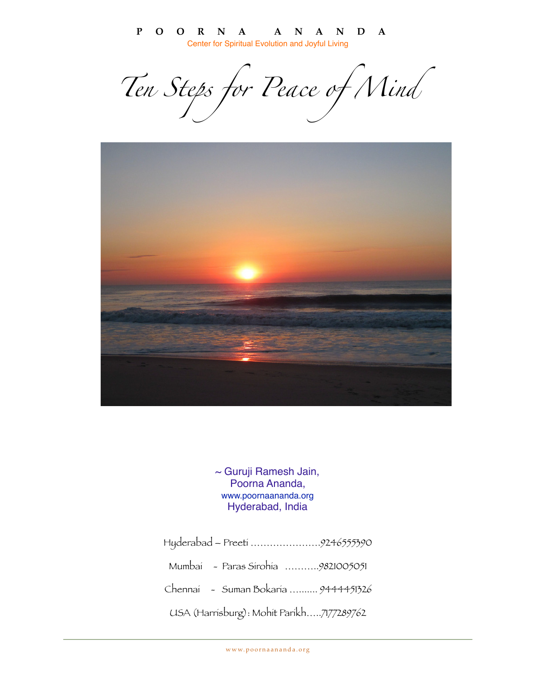**POORNA ANANDA** Center for Spiritual Evolution and Joyful Living

*[Ten Steps for Peace of Mind](http://mikellsgems.livejournal.com/116750.html)*



~ Guruji Ramesh Jain, Poorna Ananda, www.poornaananda.org Hyderabad, India

Hyderabad – Preeti ………………….9246555390 Mumbai - Paras Sirohia ………..9821005051 Chennai - Suman Bokaria …....... 9444451326 USA (Harrisburg): Mohit Parikh…..7177289762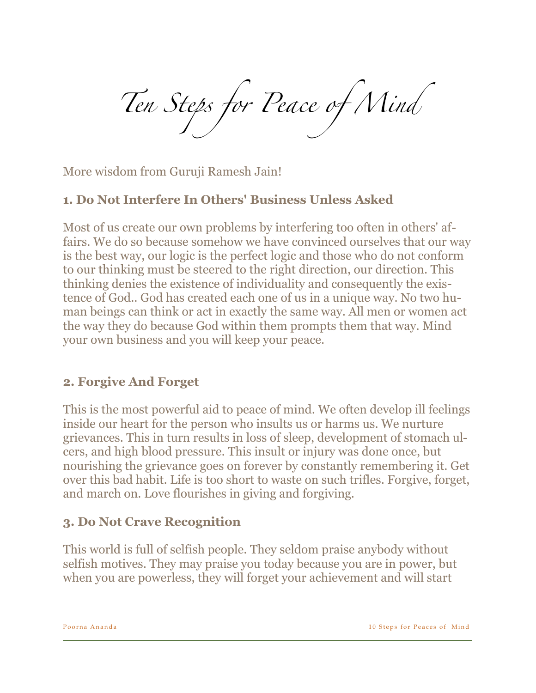*[Ten Steps for Peace of Mind](http://mikellsgems.livejournal.com/116750.html)*

More wisdom from Guruji Ramesh Jain!

#### **1. Do Not Interfere In Others' Business Unless Asked**

Most of us create our own problems by interfering too often in others' affairs. We do so because somehow we have convinced ourselves that our way is the best way, our logic is the perfect logic and those who do not conform to our thinking must be steered to the right direction, our direction. This thinking denies the existence of individuality and consequently the existence of God.. God has created each one of us in a unique way. No two human beings can think or act in exactly the same way. All men or women act the way they do because God within them prompts them that way. Mind your own business and you will keep your peace.

### **2. Forgive And Forget**

This is the most powerful aid to peace of mind. We often develop ill feelings inside our heart for the person who insults us or harms us. We nurture grievances. This in turn results in loss of sleep, development of stomach ulcers, and high blood pressure. This insult or injury was done once, but nourishing the grievance goes on forever by constantly remembering it. Get over this bad habit. Life is too short to waste on such trifles. Forgive, forget, and march on. Love flourishes in giving and forgiving.

#### **3. Do Not Crave Recognition**

This world is full of selfish people. They seldom praise anybody without selfish motives. They may praise you today because you are in power, but when you are powerless, they will forget your achievement and will start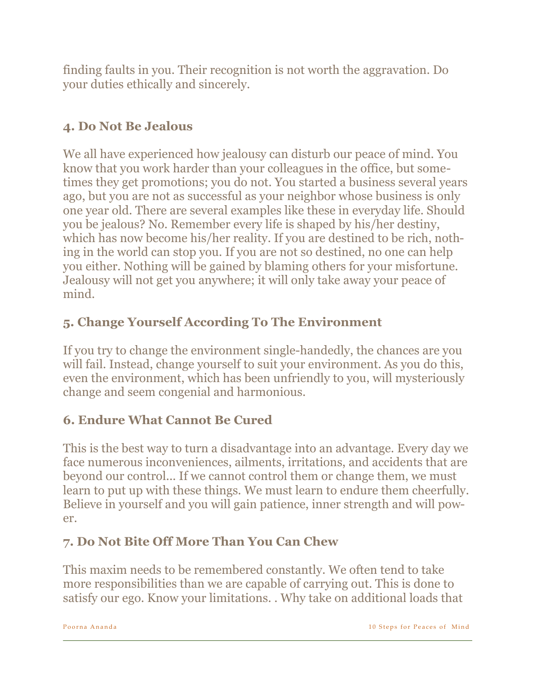finding faults in you. Their recognition is not worth the aggravation. Do your duties ethically and sincerely.

## **4. Do Not Be Jealous**

We all have experienced how jealousy can disturb our peace of mind. You know that you work harder than your colleagues in the office, but sometimes they get promotions; you do not. You started a business several years ago, but you are not as successful as your neighbor whose business is only one year old. There are several examples like these in everyday life. Should you be jealous? No. Remember every life is shaped by his/her destiny, which has now become his/her reality. If you are destined to be rich, nothing in the world can stop you. If you are not so destined, no one can help you either. Nothing will be gained by blaming others for your misfortune. Jealousy will not get you anywhere; it will only take away your peace of mind.

# **5. Change Yourself According To The Environment**

If you try to change the environment single-handedly, the chances are you will fail. Instead, change yourself to suit your environment. As you do this, even the environment, which has been unfriendly to you, will mysteriously change and seem congenial and harmonious.

# **6. Endure What Cannot Be Cured**

This is the best way to turn a disadvantage into an advantage. Every day we face numerous inconveniences, ailments, irritations, and accidents that are beyond our control... If we cannot control them or change them, we must learn to put up with these things. We must learn to endure them cheerfully. Believe in yourself and you will gain patience, inner strength and will power.

# **7. Do Not Bite Off More Than You Can Chew**

This maxim needs to be remembered constantly. We often tend to take more responsibilities than we are capable of carrying out. This is done to satisfy our ego. Know your limitations. . Why take on additional loads that